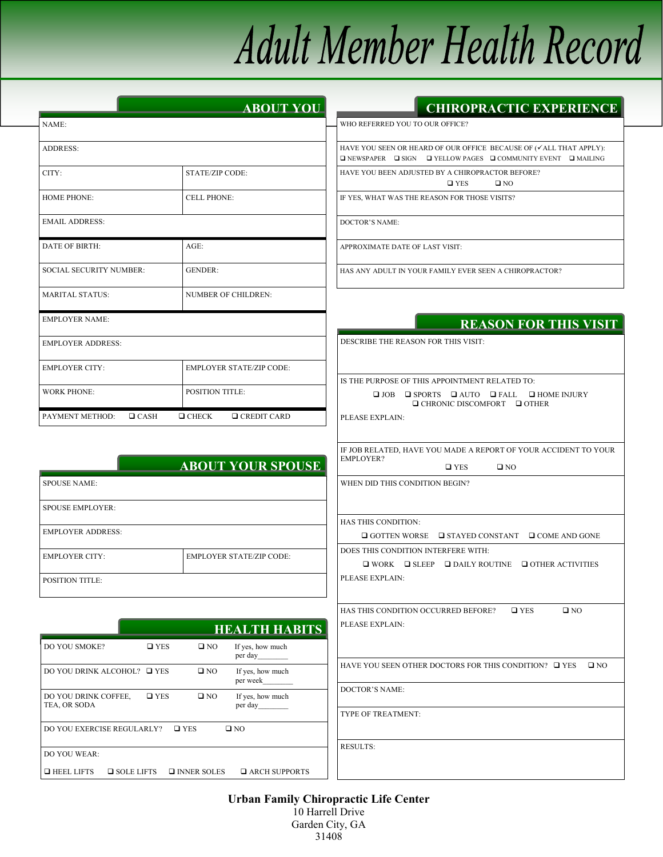# **Adult Member Health Record**

|                                | <b>ABOUT YOU</b>                   |
|--------------------------------|------------------------------------|
| NAME:                          |                                    |
| <b>ADDRESS:</b>                |                                    |
| CITY:                          | <b>STATE/ZIP CODE:</b>             |
| <b>HOME PHONE:</b>             | <b>CELL PHONE:</b>                 |
| <b>EMAIL ADDRESS:</b>          |                                    |
| DATE OF BIRTH:                 | $AGE$ :                            |
| <b>SOCIAL SECURITY NUMBER:</b> | <b>GENDER:</b>                     |
| <b>MARITAL STATUS:</b>         | <b>NUMBER OF CHILDREN:</b>         |
| <b>EMPLOYER NAME:</b>          |                                    |
| <b>EMPLOYER ADDRESS:</b>       |                                    |
| <b>EMPLOYER CITY:</b>          | <b>EMPLOYER STATE/ZIP CODE:</b>    |
| <b>WORK PHONE:</b>             | <b>POSITION TITLE:</b>             |
| PAYMENT METHOD:<br>CASH        | $\Box$ CREDIT CARD<br>$\Box$ CHECK |

## **CHIROPRACTIC EXPERIENCE**

**REASON FOR THIS VISIT** 

WHO REFERRED YOU TO OUR OFFICE?

|  |                                                  | HAVE YOU SEEN OR HEARD OF OUR OFFICE BECAUSE OF (ALL THAT APPLY):                      |  |
|--|--------------------------------------------------|----------------------------------------------------------------------------------------|--|
|  |                                                  |                                                                                        |  |
|  |                                                  | $\Box$ NEWSPAPER $\Box$ SIGN $\Box$ YELLOW PAGES $\Box$ COMMUNITY EVENT $\Box$ MAILING |  |
|  | HAVE YOU BEEN ADJUSTED BY A CHIROPRACTOR BEFORE? |                                                                                        |  |
|  | $\square$ YES                                    | $\Box$ NO                                                                              |  |

IF YES, WHAT WAS THE REASON FOR THOSE VISITS?

DOCTOR'S NAME:

APPROXIMATE DATE OF LAST VISIT:

HAS ANY ADULT IN YOUR FAMILY EVER SEEN A CHIROPRACTOR?

| DESCRIBE THE REASON FOR THIS VISIT:                                                                           |  |  |
|---------------------------------------------------------------------------------------------------------------|--|--|
|                                                                                                               |  |  |
|                                                                                                               |  |  |
| IS THE PURPOSE OF THIS APPOINTMENT RELATED TO:                                                                |  |  |
| $\Box$ JOB $\Box$ SPORTS $\Box$ AUTO $\Box$ FALL $\Box$ HOME INJURY<br>$\Box$ CHRONIC DISCOMFORT $\Box$ OTHER |  |  |
| PLEASE EXPLAIN:                                                                                               |  |  |
|                                                                                                               |  |  |
| IF JOB RELATED, HAVE YOU MADE A REPORT OF YOUR ACCIDENT TO YOUR<br><b>EMPLOYER?</b>                           |  |  |
| $\square$ YES<br>$\square$ NO                                                                                 |  |  |
| WHEN DID THIS CONDITION BEGIN?                                                                                |  |  |
|                                                                                                               |  |  |
| <b>HAS THIS CONDITION:</b>                                                                                    |  |  |
| □ GOTTEN WORSE<br>$\Box$ STAYED CONSTANT $\Box$ COME AND GONE                                                 |  |  |
| DOES THIS CONDITION INTERFERE WITH:                                                                           |  |  |
| $\Box$ WORK $\Box$ SLEEP $\Box$ DAILY ROUTINE $\Box$ OTHER ACTIVITIES                                         |  |  |
| PLEASE EXPLAIN:                                                                                               |  |  |
|                                                                                                               |  |  |
| HAS THIS CONDITION OCCURRED BEFORE? Q YES<br>$\square$ NO                                                     |  |  |
| PLEASE EXPLAIN:                                                                                               |  |  |
|                                                                                                               |  |  |
|                                                                                                               |  |  |
| HAVE YOU SEEN OTHER DOCTORS FOR THIS CONDITION? $\Box$ YES<br>$\square$ NO                                    |  |  |
| <b>DOCTOR'S NAME:</b>                                                                                         |  |  |
|                                                                                                               |  |  |
| TYPE OF TREATMENT:                                                                                            |  |  |
|                                                                                                               |  |  |
| <b>RESULTS:</b>                                                                                               |  |  |
|                                                                                                               |  |  |

|                          | <b>ABOUT YOUR SPOUSE</b>        |
|--------------------------|---------------------------------|
| <b>SPOUSE NAME:</b>      |                                 |
| <b>SPOUSE EMPLOYER:</b>  |                                 |
| <b>EMPLOYER ADDRESS:</b> |                                 |
| <b>EMPLOYER CITY:</b>    | <b>EMPLOYER STATE/ZIP CODE:</b> |
| <b>POSITION TITLE:</b>   |                                 |

|                                        |               |                    | <b>HEALTH HABITS</b>         |
|----------------------------------------|---------------|--------------------|------------------------------|
| <b>DO YOU SMOKE?</b>                   | $\square$ YES | $\square$ NO       | If yes, how much<br>per day  |
| DO YOU DRINK ALCOHOL? □ YES            |               | $\square$ NO       | If yes, how much<br>per week |
| DO YOU DRINK COFFEE.<br>TEA, OR SODA   | $\square$ YES | $\square$ NO       | If yes, how much<br>per day  |
| DO YOU EXERCISE REGULARLY?             |               | $\square$ YES      | $\Box$ NO                    |
| DO YOU WEAR:                           |               |                    |                              |
| $\Box$ HEEL LIFTS<br>$\Box$ SOLE LIFTS |               | $\Box$ INNER SOLES | $\Box$ ARCH SUPPORTS         |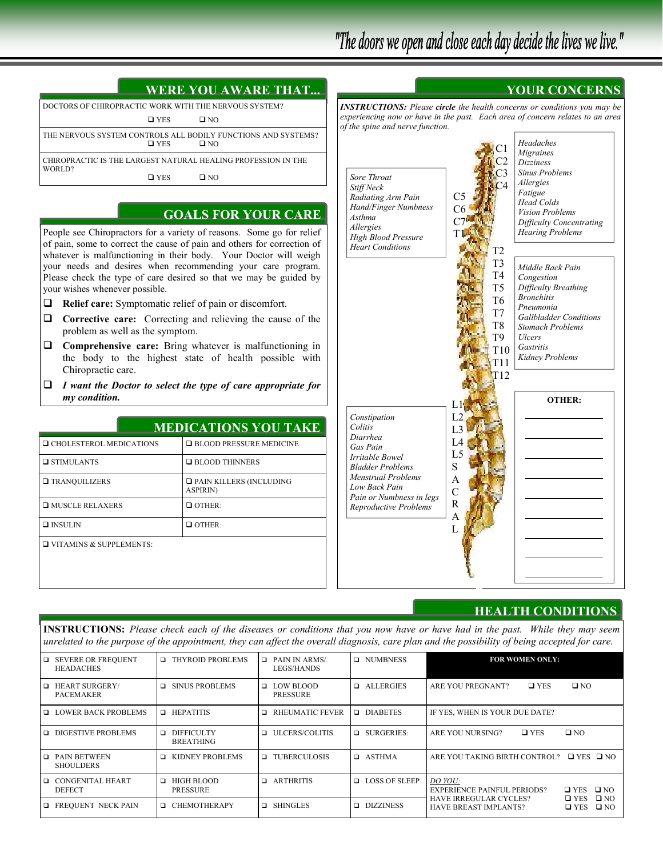**YOUR CONCERNS** 

| <b>WERE YOU AWARE THAT</b>                                                                  |
|---------------------------------------------------------------------------------------------|
| DOCTORS OF CHIROPRACTIC WORK WITH THE NERVOUS SYSTEM?                                       |
| $\square$ YES<br>$\square$ NO                                                               |
| THE NERVOUS SYSTEM CONTROLS ALL BODILY FUNCTIONS AND SYSTEMS?<br>$\square$ YES<br>$\Box$ NO |
| CHIROPRACTIC IS THE LARGEST NATURAL HEALING PROFESSION IN THE                               |
| WORLD?<br>$\square$ YES<br>∩ מר                                                             |

## **GOALS FOR YOUR CARE**

People see Chiropractors for a variety of reasons. Some go for relief of pain, some to correct the cause of pain and others for correction of whatever is malfunctioning in their body. Your Doctor will weigh your needs and desires when recommending your care program. Please check the type of care desired so that we may be guided by your wishes whenever possible.

- **Relief care:** Symptomatic relief of pain or discomfort.
- **Corrective care:** Correcting and relieving the cause of the problem as well as the symptom.
- **Comprehensive care:** Bring whatever is malfunctioning in the body to the highest state of health possible with Chiropractic care.
- *I want the Doctor to select the type of care appropriate for my condition.*

## **MEDICATIONS YOU TAKE**

| □ CHOLESTEROL MEDICATIONS      | $\Box$ BLOOD PRESSURE MEDICINE                       |
|--------------------------------|------------------------------------------------------|
| $\Box$ STIMULANTS              | $\Box$ BLOOD THINNERS                                |
| <b>TRANQUILIZERS</b>           | $\square$ PAIN KILLERS (INCLUDING<br><b>ASPIRIN)</b> |
| $\Box$ MUSCLE RELAXERS         | $\Box$ OTHER:                                        |
| $\Box$ INSULIN                 | $\Box$ OTHER:                                        |
| $\Box$ VITAMINS & SUPPLEMENTS: |                                                      |



## **HEALTH CONDITIONS**

**INSTRUCTIONS:** *Please check each of the diseases or conditions that you now have or have had in the past. While they may seem unrelated to the purpose of the appointment, they can affect the overall diagnosis, care plan and the possibility of being accepted for care.* 

| $\Box$ | <b>SEVERE OR FREQUENT</b><br><b>HEADACHES</b> | <b>THYROID PROBLEMS</b><br>□               | $\Box$ PAIN IN ARMS/<br>LEGS/HANDS    | <b>Q</b> NUMBNESS     | <b>FOR WOMEN ONLY:</b>                                                                                          |
|--------|-----------------------------------------------|--------------------------------------------|---------------------------------------|-----------------------|-----------------------------------------------------------------------------------------------------------------|
| $\Box$ | <b>HEART SURGERY/</b><br><b>PACEMAKER</b>     | <b>SINUS PROBLEMS</b><br>□                 | <b>Q</b> LOW BLOOD<br><b>PRESSURE</b> | <b>ALLERGIES</b><br>▫ | $\square$ NO<br>$\square$ YES<br>ARE YOU PREGNANT?                                                              |
|        | <b>LOWER BACK PROBLEMS</b>                    | <b>HEPATITIS</b><br>$\Box$                 | RHEUMATIC FEVER                       | DIABETES              | IF YES, WHEN IS YOUR DUE DATE?                                                                                  |
|        | □ DIGESTIVE PROBLEMS                          | <b>DIFFICULTY</b><br>□<br><b>BREATHING</b> | <b>ILCERS/COLITIS</b>                 | $\Box$ SURGERIES:     | $\square$ NO<br>ARE YOU NURSING?<br>$\square$ YES                                                               |
| $\Box$ | <b>PAIN BETWEEN</b><br><b>SHOULDERS</b>       | KIDNEY PROBLEMS<br>□                       | <b>Q TUBERCULOSIS</b>                 | <b>D</b> ASTHMA       | ARE YOU TAKING BIRTH CONTROL?<br>$\Box$ YES $\Box$ NO                                                           |
|        | □ CONGENITAL HEART<br><b>DEFECT</b>           | HIGH BLOOD<br>$\Box$<br><b>PRESSURE</b>    | <b>Q</b> ARTHRITIS                    | <b>LOSS OF SLEEP</b>  | DO YOU:<br>$\square$ NO<br><b>EXPERIENCE PAINFUL PERIODS?</b><br>$\square$ YES<br>$\square$ NO                  |
|        | <b>EXECUENT NECK PAIN</b>                     | <b>CHEMOTHERAPY</b><br>▫                   | <b>Q</b> SHINGLES                     | DIZZINESS<br>▫        | $\square$ YES<br><b>HAVE IRREGULAR CYCLES?</b><br>$\square$ NO<br><b>HAVE BREAST IMPLANTS?</b><br>$\square$ YES |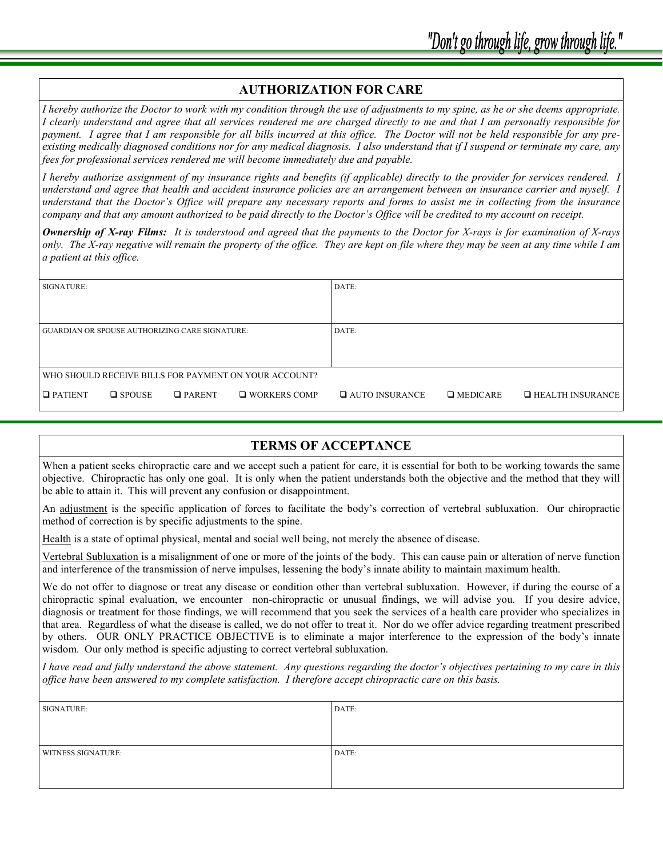#### **AUTHORIZATION FOR CARE**

*I hereby authorize the Doctor to work with my condition through the use of adjustments to my spine, as he or she deems appropriate. I clearly understand and agree that all services rendered me are charged directly to me and that I am personally responsible for payment. I agree that I am responsible for all bills incurred at this office. The Doctor will not be held responsible for any preexisting medically diagnosed conditions nor for any medical diagnosis. I also understand that if I suspend or terminate my care, any fees for professional services rendered me will become immediately due and payable.* 

*I hereby authorize assignment of my insurance rights and benefits (if applicable) directly to the provider for services rendered. I understand and agree that health and accident insurance policies are an arrangement between an insurance carrier and myself. I understand that the Doctor's Office will prepare any necessary reports and forms to assist me in collecting from the insurance company and that any amount authorized to be paid directly to the Doctor's Office will be credited to my account on receipt.* 

*Ownership of X-ray Films: It is understood and agreed that the payments to the Doctor for X-rays is for examination of X-rays only. The X-ray negative will remain the property of the office. They are kept on file where they may be seen at any time while I am a patient at this office.* 

| SIGNATURE:                                            |                  |               | DATE:                                                 |                         |                 |                         |
|-------------------------------------------------------|------------------|---------------|-------------------------------------------------------|-------------------------|-----------------|-------------------------|
|                                                       |                  |               |                                                       |                         |                 |                         |
| <b>GUARDIAN OR SPOUSE AUTHORIZING CARE SIGNATURE:</b> |                  |               | DATE:                                                 |                         |                 |                         |
|                                                       |                  |               |                                                       |                         |                 |                         |
|                                                       |                  |               | WHO SHOULD RECEIVE BILLS FOR PAYMENT ON YOUR ACCOUNT? |                         |                 |                         |
| $\Box$ PATIENT                                        | $\square$ SPOUSE | $\Box$ PARENT | $\Box$ WORKERS COMP                                   | <b>Q AUTO INSURANCE</b> | $\Box$ MEDICARE | $\Box$ HEALTH INSURANCE |

## **TERMS OF ACCEPTANCE**

When a patient seeks chiropractic care and we accept such a patient for care, it is essential for both to be working towards the same objective. Chiropractic has only one goal. It is only when the patient understands both the objective and the method that they will be able to attain it. This will prevent any confusion or disappointment.

An adjustment is the specific application of forces to facilitate the body's correction of vertebral subluxation. Our chiropractic method of correction is by specific adjustments to the spine.

Health is a state of optimal physical, mental and social well being, not merely the absence of disease.

Vertebral Subluxation is a misalignment of one or more of the joints of the body. This can cause pain or alteration of nerve function and interference of the transmission of nerve impulses, lessening the body's innate ability to maintain maximum health.

We do not offer to diagnose or treat any disease or condition other than vertebral subluxation. However, if during the course of a chiropractic spinal evaluation, we encounter non-chiropractic or unusual findings, we will advise you. If you desire advice, diagnosis or treatment for those findings, we will recommend that you seek the services of a health care provider who specializes in that area. Regardless of what the disease is called, we do not offer to treat it. Nor do we offer advice regarding treatment prescribed by others. OUR ONLY PRACTICE OBJECTIVE is to eliminate a major interference to the expression of the body's innate wisdom. Our only method is specific adjusting to correct vertebral subluxation.

*I have read and fully understand the above statement. Any questions regarding the doctor's objectives pertaining to my care in this office have been answered to my complete satisfaction. I therefore accept chiropractic care on this basis.* 

| SIGNATURE:                | DATE: |
|---------------------------|-------|
|                           |       |
|                           |       |
| <b>WITNESS SIGNATURE:</b> | DATE: |
|                           |       |
|                           |       |